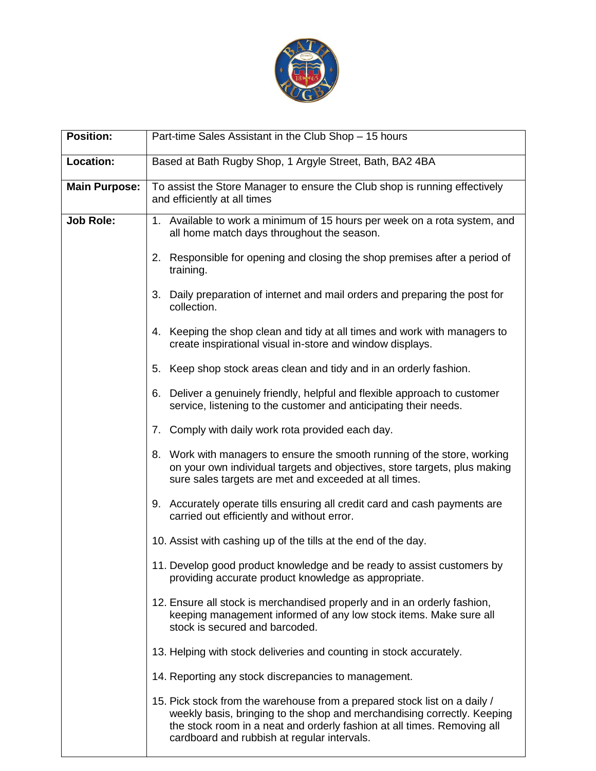

| <b>Position:</b>     | Part-time Sales Assistant in the Club Shop - 15 hours                                                                                                                                                                                                                          |
|----------------------|--------------------------------------------------------------------------------------------------------------------------------------------------------------------------------------------------------------------------------------------------------------------------------|
| Location:            | Based at Bath Rugby Shop, 1 Argyle Street, Bath, BA2 4BA                                                                                                                                                                                                                       |
| <b>Main Purpose:</b> | To assist the Store Manager to ensure the Club shop is running effectively<br>and efficiently at all times                                                                                                                                                                     |
| <b>Job Role:</b>     | 1. Available to work a minimum of 15 hours per week on a rota system, and<br>all home match days throughout the season.                                                                                                                                                        |
|                      | 2. Responsible for opening and closing the shop premises after a period of<br>training.                                                                                                                                                                                        |
|                      | 3. Daily preparation of internet and mail orders and preparing the post for<br>collection.                                                                                                                                                                                     |
|                      | 4. Keeping the shop clean and tidy at all times and work with managers to<br>create inspirational visual in-store and window displays.                                                                                                                                         |
|                      | Keep shop stock areas clean and tidy and in an orderly fashion.<br>5.                                                                                                                                                                                                          |
|                      | 6. Deliver a genuinely friendly, helpful and flexible approach to customer<br>service, listening to the customer and anticipating their needs.                                                                                                                                 |
|                      | 7. Comply with daily work rota provided each day.                                                                                                                                                                                                                              |
|                      | 8. Work with managers to ensure the smooth running of the store, working<br>on your own individual targets and objectives, store targets, plus making<br>sure sales targets are met and exceeded at all times.                                                                 |
|                      | 9. Accurately operate tills ensuring all credit card and cash payments are<br>carried out efficiently and without error.                                                                                                                                                       |
|                      | 10. Assist with cashing up of the tills at the end of the day.                                                                                                                                                                                                                 |
|                      | 11. Develop good product knowledge and be ready to assist customers by<br>providing accurate product knowledge as appropriate.                                                                                                                                                 |
|                      | 12. Ensure all stock is merchandised properly and in an orderly fashion,<br>keeping management informed of any low stock items. Make sure all<br>stock is secured and barcoded.                                                                                                |
|                      | 13. Helping with stock deliveries and counting in stock accurately.                                                                                                                                                                                                            |
|                      | 14. Reporting any stock discrepancies to management.                                                                                                                                                                                                                           |
|                      | 15. Pick stock from the warehouse from a prepared stock list on a daily /<br>weekly basis, bringing to the shop and merchandising correctly. Keeping<br>the stock room in a neat and orderly fashion at all times. Removing all<br>cardboard and rubbish at regular intervals. |